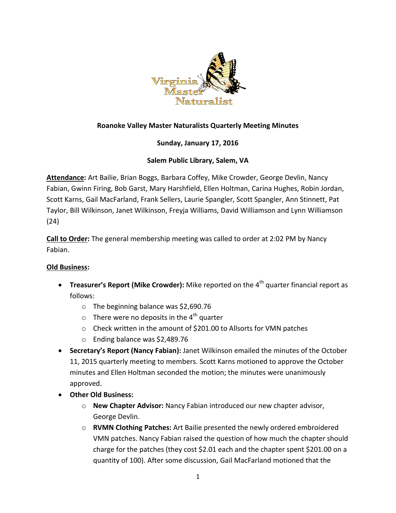

# **Roanoke Valley Master Naturalists Quarterly Meeting Minutes**

## **Sunday, January 17, 2016**

### **Salem Public Library, Salem, VA**

**Attendance:** Art Bailie, Brian Boggs, Barbara Coffey, Mike Crowder, George Devlin, Nancy Fabian, Gwinn Firing, Bob Garst, Mary Harshfield, Ellen Holtman, Carina Hughes, Robin Jordan, Scott Karns, Gail MacFarland, Frank Sellers, Laurie Spangler, Scott Spangler, Ann Stinnett, Pat Taylor, Bill Wilkinson, Janet Wilkinson, Freyja Williams, David Williamson and Lynn Williamson (24)

**Call to Order:** The general membership meeting was called to order at 2:02 PM by Nancy Fabian.

#### **Old Business:**

- **Treasurer's Report (Mike Crowder):** Mike reported on the 4<sup>th</sup> quarter financial report as follows:
	- o The beginning balance was \$2,690.76
	- $\circ$  There were no deposits in the 4<sup>th</sup> quarter
	- o Check written in the amount of \$201.00 to Allsorts for VMN patches
	- o Ending balance was \$2,489.76
- **Secretary's Report (Nancy Fabian):** Janet Wilkinson emailed the minutes of the October 11, 2015 quarterly meeting to members. Scott Karns motioned to approve the October minutes and Ellen Holtman seconded the motion; the minutes were unanimously approved.
- **Other Old Business:**
	- o **New Chapter Advisor:** Nancy Fabian introduced our new chapter advisor, George Devlin.
	- o **RVMN Clothing Patches:** Art Bailie presented the newly ordered embroidered VMN patches. Nancy Fabian raised the question of how much the chapter should charge for the patches (they cost \$2.01 each and the chapter spent \$201.00 on a quantity of 100). After some discussion, Gail MacFarland motioned that the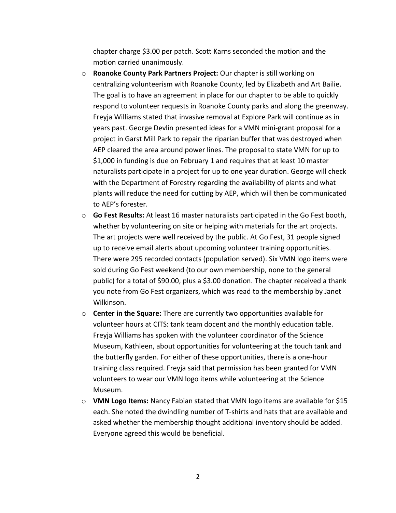chapter charge \$3.00 per patch. Scott Karns seconded the motion and the motion carried unanimously.

- o **Roanoke County Park Partners Project:** Our chapter is still working on centralizing volunteerism with Roanoke County, led by Elizabeth and Art Bailie. The goal is to have an agreement in place for our chapter to be able to quickly respond to volunteer requests in Roanoke County parks and along the greenway. Freyja Williams stated that invasive removal at Explore Park will continue as in years past. George Devlin presented ideas for a VMN mini-grant proposal for a project in Garst Mill Park to repair the riparian buffer that was destroyed when AEP cleared the area around power lines. The proposal to state VMN for up to \$1,000 in funding is due on February 1 and requires that at least 10 master naturalists participate in a project for up to one year duration. George will check with the Department of Forestry regarding the availability of plants and what plants will reduce the need for cutting by AEP, which will then be communicated to AEP's forester.
- o **Go Fest Results:** At least 16 master naturalists participated in the Go Fest booth, whether by volunteering on site or helping with materials for the art projects. The art projects were well received by the public. At Go Fest, 31 people signed up to receive email alerts about upcoming volunteer training opportunities. There were 295 recorded contacts (population served). Six VMN logo items were sold during Go Fest weekend (to our own membership, none to the general public) for a total of \$90.00, plus a \$3.00 donation. The chapter received a thank you note from Go Fest organizers, which was read to the membership by Janet Wilkinson.
- o **Center in the Square:** There are currently two opportunities available for volunteer hours at CITS: tank team docent and the monthly education table. Freyja Williams has spoken with the volunteer coordinator of the Science Museum, Kathleen, about opportunities for volunteering at the touch tank and the butterfly garden. For either of these opportunities, there is a one-hour training class required. Freyja said that permission has been granted for VMN volunteers to wear our VMN logo items while volunteering at the Science Museum.
- o **VMN Logo Items:** Nancy Fabian stated that VMN logo items are available for \$15 each. She noted the dwindling number of T-shirts and hats that are available and asked whether the membership thought additional inventory should be added. Everyone agreed this would be beneficial.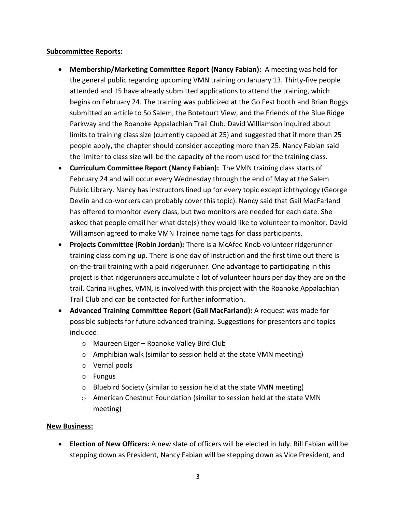#### **Subcommittee Reports:**

- **Membership/Marketing Committee Report (Nancy Fabian):** A meeting was held for the general public regarding upcoming VMN training on January 13. Thirty-five people attended and 15 have already submitted applications to attend the training, which begins on February 24. The training was publicized at the Go Fest booth and Brian Boggs submitted an article to So Salem, the Botetourt View, and the Friends of the Blue Ridge Parkway and the Roanoke Appalachian Trail Club. David Williamson inquired about limits to training class size (currently capped at 25) and suggested that if more than 25 people apply, the chapter should consider accepting more than 25. Nancy Fabian said the limiter to class size will be the capacity of the room used for the training class.
- **Curriculum Committee Report (Nancy Fabian):** The VMN training class starts of February 24 and will occur every Wednesday through the end of May at the Salem Public Library. Nancy has instructors lined up for every topic except ichthyology (George Devlin and co-workers can probably cover this topic). Nancy said that Gail MacFarland has offered to monitor every class, but two monitors are needed for each date. She asked that people email her what date(s) they would like to volunteer to monitor. David Williamson agreed to make VMN Trainee name tags for class participants.
- **Projects Committee (Robin Jordan):** There is a McAfee Knob volunteer ridgerunner training class coming up. There is one day of instruction and the first time out there is on-the-trail training with a paid ridgerunner. One advantage to participating in this project is that ridgerunners accumulate a lot of volunteer hours per day they are on the trail. Carina Hughes, VMN, is involved with this project with the Roanoke Appalachian Trail Club and can be contacted for further information.
- **Advanced Training Committee Report (Gail MacFarland):** A request was made for possible subjects for future advanced training. Suggestions for presenters and topics included:
	- o Maureen Eiger Roanoke Valley Bird Club
	- $\circ$  Amphibian walk (similar to session held at the state VMN meeting)
	- o Vernal pools
	- o Fungus
	- o Bluebird Society (similar to session held at the state VMN meeting)
	- o American Chestnut Foundation (similar to session held at the state VMN meeting)

#### **New Business:**

 **Election of New Officers:** A new slate of officers will be elected in July. Bill Fabian will be stepping down as President, Nancy Fabian will be stepping down as Vice President, and